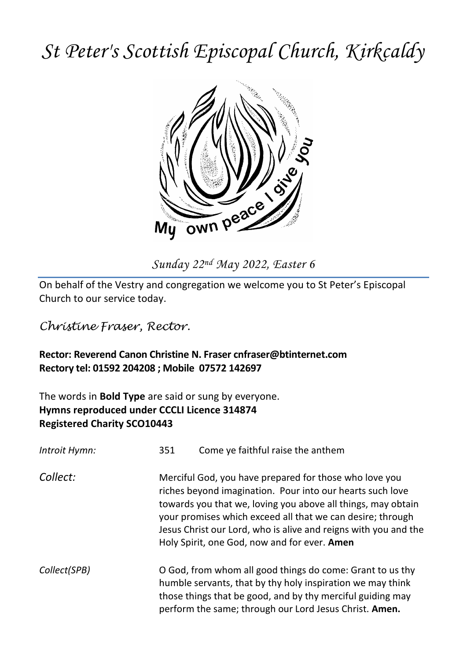# *St Peter's Scottish Episcopal Church, Kirkcaldy*



On behalf of the Vestry and congregation we welcome you to St Peter's Episcopal Church to our service today.

*Christine Fraser, Rector.*

### **Rector: Reverend Canon Christine N. Fraser cnfraser@btinternet.com Rectory tel: 01592 204208 ; Mobile 07572 142697**

The words in **Bold Type** are said or sung by everyone. **Hymns reproduced under CCCLI Licence 314874 Registered Charity SCO10443**

| Introit Hymn: | 351 | Come ye faithful raise the anthem                                                                                                                                                                                                                                                                                                                                    |
|---------------|-----|----------------------------------------------------------------------------------------------------------------------------------------------------------------------------------------------------------------------------------------------------------------------------------------------------------------------------------------------------------------------|
| Collect:      |     | Merciful God, you have prepared for those who love you<br>riches beyond imagination. Pour into our hearts such love<br>towards you that we, loving you above all things, may obtain<br>your promises which exceed all that we can desire; through<br>Jesus Christ our Lord, who is alive and reigns with you and the<br>Holy Spirit, one God, now and for ever. Amen |
| Collect(SPB)  |     | O God, from whom all good things do come: Grant to us thy<br>humble servants, that by thy holy inspiration we may think<br>those things that be good, and by thy merciful guiding may<br>perform the same; through our Lord Jesus Christ. Amen.                                                                                                                      |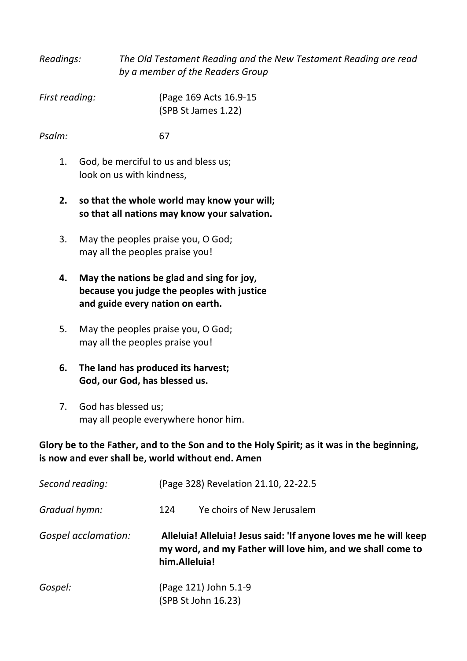| Readings:      | The Old Testament Reading and the New Testament Reading are read<br>by a member of the Readers Group |
|----------------|------------------------------------------------------------------------------------------------------|
| First reading: | (Page 169 Acts 16.9-15)<br>(SPB St James 1.22)                                                       |

#### *Psalm:* 67

- 1. God, be merciful to us and bless us; look on us with kindness,
- **2. so that the whole world may know your will; so that all nations may know your salvation.**
- 3. May the peoples praise you, O God; may all the peoples praise you!
- **4. May the nations be glad and sing for joy, because you judge the peoples with justice and guide every nation on earth.**
- 5. May the peoples praise you, O God; may all the peoples praise you!
- **6. The land has produced its harvest; God, our God, has blessed us.**
- 7. God has blessed us; may all people everywhere honor him.

#### **Glory be to the Father, and to the Son and to the Holy Spirit; as it was in the beginning, is now and ever shall be, world without end. Amen**

| Second reading:     | (Page 328) Revelation 21.10, 22-22.5                                                                                                            |  |
|---------------------|-------------------------------------------------------------------------------------------------------------------------------------------------|--|
| Gradual hymn:       | Ye choirs of New Jerusalem<br>124                                                                                                               |  |
| Gospel acclamation: | Alleluia! Alleluia! Jesus said: 'If anyone loves me he will keep<br>my word, and my Father will love him, and we shall come to<br>him.Alleluia! |  |
| Gospel:             | (Page 121) John 5.1-9<br>(SPB St John 16.23)                                                                                                    |  |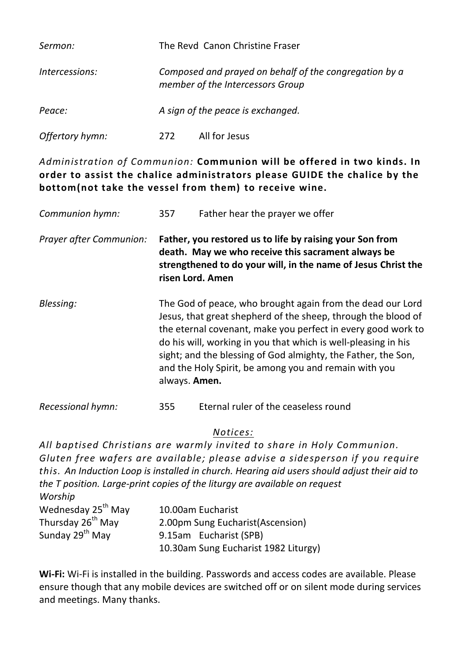| Sermon:         |     | The Revd Canon Christine Fraser                                                            |
|-----------------|-----|--------------------------------------------------------------------------------------------|
| Intercessions:  |     | Composed and prayed on behalf of the congregation by a<br>member of the Intercessors Group |
| Peace:          |     | A sign of the peace is exchanged.                                                          |
| Offertory hymn: | 272 | All for Jesus                                                                              |

*Administration of Communion:* **Communion will be offered in two kinds. In order to assist the chalice administrators please GUIDE the chalice by the bottom(not take the vessel from them) to receive wine.**

| Communion hymn:         | 357                                                                                                                                                                                                                                                                                                                                                                                                      | Father hear the prayer we offer |
|-------------------------|----------------------------------------------------------------------------------------------------------------------------------------------------------------------------------------------------------------------------------------------------------------------------------------------------------------------------------------------------------------------------------------------------------|---------------------------------|
| Prayer after Communion: | Father, you restored us to life by raising your Son from<br>death. May we who receive this sacrament always be<br>strengthened to do your will, in the name of Jesus Christ the<br>risen Lord. Amen                                                                                                                                                                                                      |                                 |
| Blessing:               | The God of peace, who brought again from the dead our Lord<br>Jesus, that great shepherd of the sheep, through the blood of<br>the eternal covenant, make you perfect in every good work to<br>do his will, working in you that which is well-pleasing in his<br>sight; and the blessing of God almighty, the Father, the Son,<br>and the Holy Spirit, be among you and remain with you<br>always. Amen. |                                 |

## *Recessional hymn:* 355 Eternal ruler of the ceaseless round

#### *Notices:*

*All baptised Christians are warmly invited to share in Holy Communion. Gluten free wafers are available; please advise a sidesperson if you require this. An Induction Loop is installed in church. Hearing aid users should adjust their aid to the T position. Large-print copies of the liturgy are available on request Worship*

| <i>VVOISIIID</i>               |                                      |
|--------------------------------|--------------------------------------|
| Wednesday 25 <sup>th</sup> May | 10.00am Eucharist                    |
| Thursday 26 <sup>th</sup> May  | 2.00pm Sung Eucharist (Ascension)    |
| Sunday 29 <sup>th</sup> May    | 9.15am Eucharist (SPB)               |
|                                | 10.30am Sung Eucharist 1982 Liturgy) |

**Wi-Fi:** Wi-Fi is installed in the building. Passwords and access codes are available. Please ensure though that any mobile devices are switched off or on silent mode during services and meetings. Many thanks.